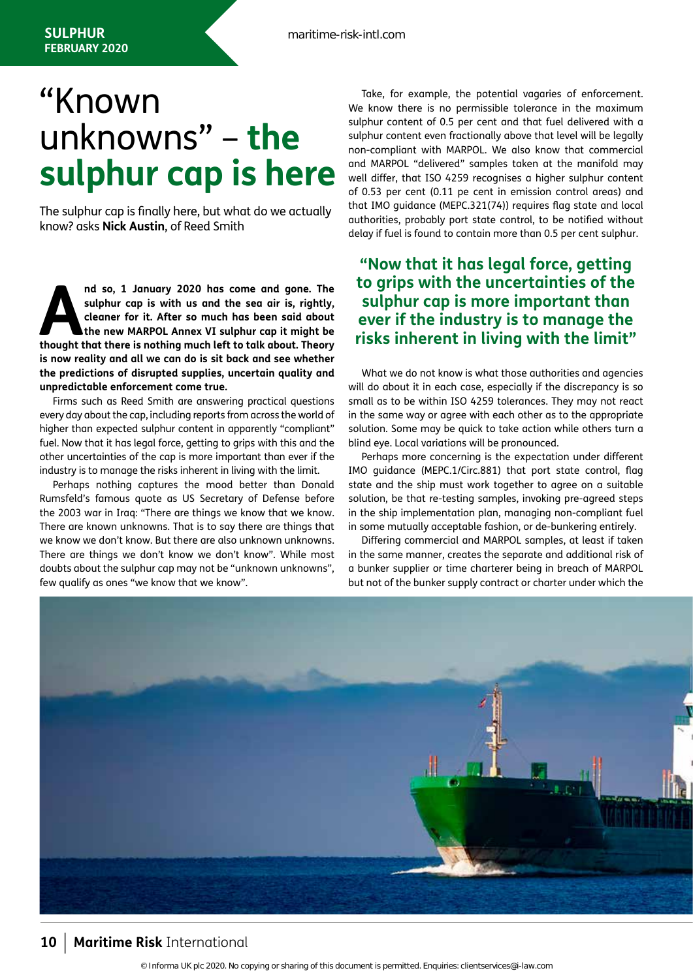## "Known unknowns" – **the sulphur cap is here**

The sulphur cap is finally here, but what do we actually know? asks **Nick Austin**, of Reed Smith

**And so, 1 January 2020 has come and gone. The sulphur cap is with us and the sea air is, rightly, cleaner for it. After so much has been said about the new MARPOL Annex VI sulphur cap it might be thought that there is not sulphur cap is with us and the sea air is, rightly, cleaner for it. After so much has been said about the new MARPOL Annex VI sulphur cap it might be is now reality and all we can do is sit back and see whether the predictions of disrupted supplies, uncertain quality and unpredictable enforcement come true.**

Firms such as Reed Smith are answering practical questions every day about the cap, including reports from across the world of higher than expected sulphur content in apparently "compliant" fuel. Now that it has legal force, getting to grips with this and the other uncertainties of the cap is more important than ever if the industry is to manage the risks inherent in living with the limit.

Perhaps nothing captures the mood better than Donald Rumsfeld's famous quote as US Secretary of Defense before the 2003 war in Iraq: "There are things we know that we know. There are known unknowns. That is to say there are things that we know we don't know. But there are also unknown unknowns. There are things we don't know we don't know". While most doubts about the sulphur cap may not be "unknown unknowns", few qualify as ones "we know that we know".

Take, for example, the potential vagaries of enforcement. We know there is no permissible tolerance in the maximum sulphur content of 0.5 per cent and that fuel delivered with a sulphur content even fractionally above that level will be legally non-compliant with MARPOL. We also know that commercial and MARPOL "delivered" samples taken at the manifold may well differ, that ISO 4259 recognises a higher sulphur content of 0.53 per cent (0.11 pe cent in emission control areas) and that IMO guidance (MEPC.321(74)) requires flag state and local authorities, probably port state control, to be notified without delay if fuel is found to contain more than 0.5 per cent sulphur.

## **"Now that it has legal force, getting to grips with the uncertainties of the sulphur cap is more important than ever if the industry is to manage the risks inherent in living with the limit"**

What we do not know is what those authorities and agencies will do about it in each case, especially if the discrepancy is so small as to be within ISO 4259 tolerances. They may not react in the same way or agree with each other as to the appropriate solution. Some may be quick to take action while others turn a blind eye. Local variations will be pronounced.

Perhaps more concerning is the expectation under different IMO guidance (MEPC.1/Circ.881) that port state control, flag state and the ship must work together to agree on a suitable solution, be that re-testing samples, invoking pre-agreed steps in the ship implementation plan, managing non-compliant fuel in some mutually acceptable fashion, or de-bunkering entirely.

Differing commercial and MARPOL samples, at least if taken in the same manner, creates the separate and additional risk of a bunker supplier or time charterer being in breach of MARPOL but not of the bunker supply contract or charter under which the



## **<sup>10</sup>** | **Maritime Risk** International